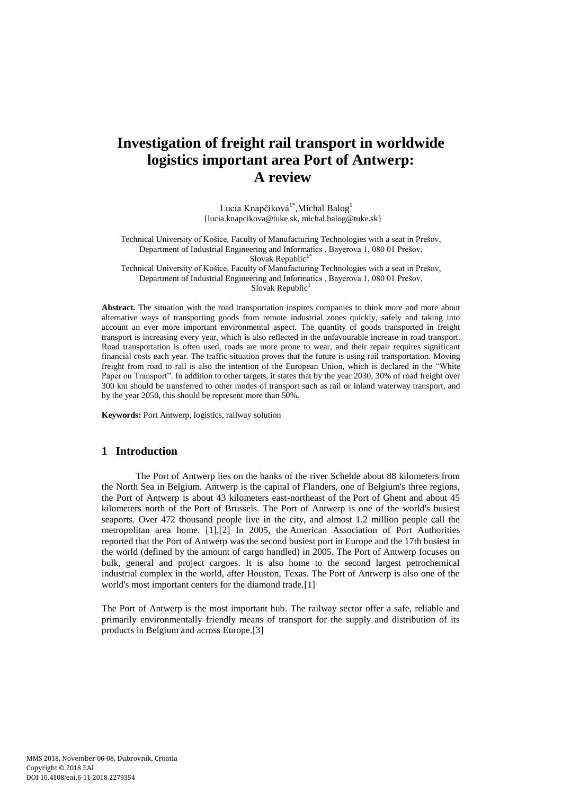# **Investigation of freight rail transport in worldwide logistics important area Port of Antwerp: A review**

Lucia Knapčíková<sup>1\*</sup>,Michal Balog<sup>1</sup> [{lucia.knapcikova@tuke.sk,](mailto:lucia.knapcikova@tuke.sk) michal.balog@tuke.sk}

Technical University of Košice, Faculty of Manufacturing Technologies with a seat in Prešov, Department of Industrial Engineering and Informatics , Bayerova 1, 080 01 Prešov, Slovak Republic<sup>1\*</sup>

Technical University of Košice, Faculty of Manufacturing Technologies with a seat in Prešov, Department of Industrial Engineering and Informatics , Bayerova 1, 080 01 Prešov, Slovak Republic $<sup>1</sup>$ </sup>

**Abstract.** The situation with the road transportation inspires companies to think more and more about alternative ways of transporting goods from remote industrial zones quickly, safely and taking into account an ever more important environmental aspect. The quantity of goods transported in freight transport is increasing every year, which is also reflected in the unfavourable increase in road transport. Road transportation is often used, roads are more prone to wear, and their repair requires significant financial costs each year. The traffic situation proves that the future is using rail transportation. Moving freight from road to rail is also the intention of the European Union, which is declared in the "White Paper on Transport". In addition to other targets, it states that by the year 2030, 30% of road freight over 300 km should be transferred to other modes of transport such as rail or inland waterway transport, and by the year 2050, this should be represent more than 50%.

**Keywords:** Port Antwerp, logistics, railway solution

## **1 Introduction**

The Port of Antwerp lies on the banks of the river Schelde about 88 kilometers from the North Sea in Belgium. Antwerp is the capital of Flanders, one of Belgium's three regions, the Port of Antwerp is about 43 kilometers east-northeast of the Port of Ghent and about 45 kilometers north of the Port of Brussels. The Port of Antwerp is one of the world's busiest seaports. Over 472 thousand people live in the city, and almost 1.2 million people call the metropolitan area home. [1],[2] In 2005, the American Association of Port Authorities reported that the Port of Antwerp was the second busiest port in Europe and the 17th busiest in the world (defined by the amount of cargo handled) in 2005. The Port of Antwerp focuses on bulk, general and project cargoes. It is also home to the second largest petrochemical industrial complex in the world, after Houston, Texas. The Port of Antwerp is also one of the world's most important centers for the diamond trade.[1]

The Port of Antwerp is the most important hub. The railway sector offer a safe, reliable and primarily environmentally friendly means of transport for the supply and distribution of its products in Belgium and across Europe.[3]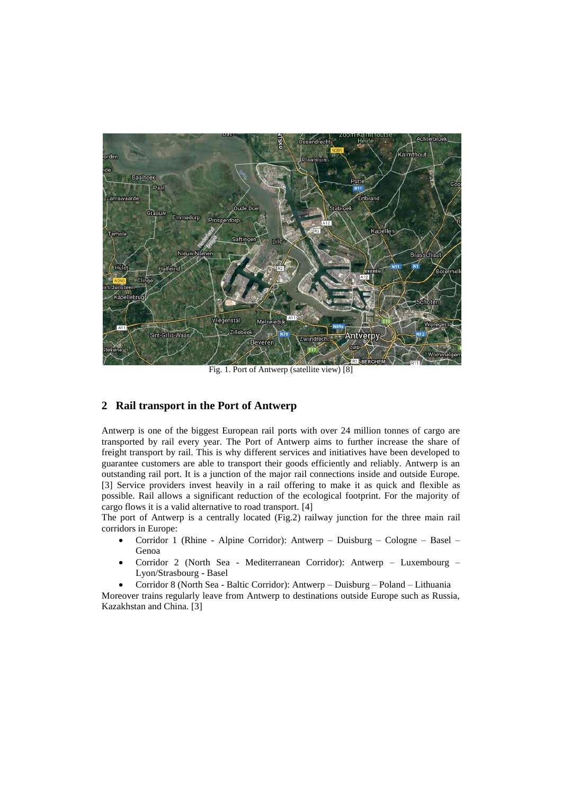

Fig. 1. Port of Antwerp (satellite view) [8]

## **2 Rail transport in the Port of Antwerp**

Antwerp is one of the biggest European rail ports with over 24 million tonnes of cargo are transported by rail every year. The Port of Antwerp aims to further increase the share of freight transport by rail. This is why different services and initiatives have been developed to guarantee customers are able to transport their goods efficiently and reliably. Antwerp is an outstanding rail port. It is a junction of the major rail connections inside and outside Europe. [3] Service providers invest heavily in a rail offering to make it as quick and flexible as possible. Rail allows a significant reduction of the ecological footprint. For the majority of cargo flows it is a valid alternative to road transport. [4]

The port of Antwerp is a centrally located (Fig.2) railway junction for the three main rail corridors in Europe:

- Corridor 1 (Rhine Alpine Corridor): Antwerp Duisburg Cologne Basel Genoa
- Corridor 2 (North Sea Mediterranean Corridor): Antwerp Luxembourg Lyon/Strasbourg - Basel
- Corridor 8 (North Sea Baltic Corridor): Antwerp Duisburg Poland Lithuania

Moreover trains regularly leave from Antwerp to destinations outside Europe such as Russia, Kazakhstan and China. [3]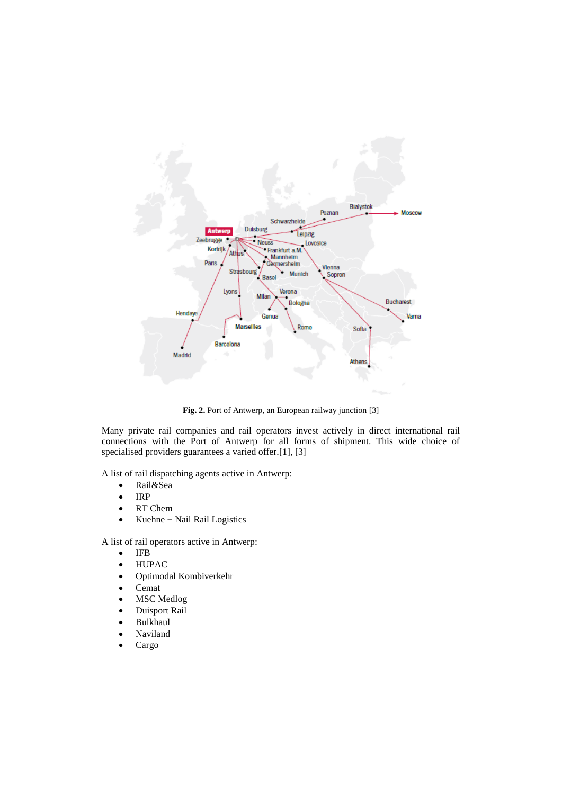

**Fig. 2.** Port of Antwerp, an European railway junction [3]

Many private rail companies and rail operators invest actively in direct international rail connections with the Port of Antwerp for all forms of shipment. This wide choice of specialised providers guarantees a varied offer.[1], [3]

A list of rail dispatching agents active in Antwerp:

- Rail&Sea
- $\bullet$  IRP
- RT Chem
- Kuehne + Nail Rail Logistics

A list of rail operators active in Antwerp:

- $\bullet$  IFB
- HUPAC
- Optimodal Kombiverkehr
- Cemat
- MSC Medlog
- Duisport Rail
- Bulkhaul
- Naviland
- Cargo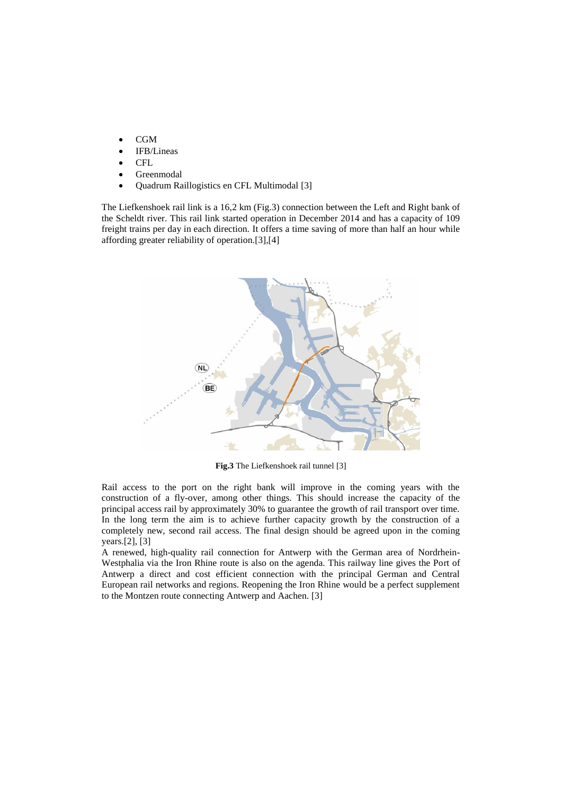- CGM
- IFB/Lineas
- CFL
- Greenmodal
- Quadrum Raillogistics en CFL Multimodal [3]

The Liefkenshoek rail link is a 16,2 km (Fig.3) connection between the Left and Right bank of the Scheldt river. This rail link started operation in December 2014 and has a capacity of 109 freight trains per day in each direction. It offers a time saving of more than half an hour while affording greater reliability of operation.[3],[4]



**Fig.3** The Liefkenshoek rail tunnel [3]

Rail access to the port on the right bank will improve in the coming years with the construction of a fly-over, among other things. This should increase the capacity of the principal access rail by approximately 30% to guarantee the growth of rail transport over time. In the long term the aim is to achieve further capacity growth by the construction of a completely new, second rail access. The final design should be agreed upon in the coming years.[2], [3]

A renewed, high-quality rail connection for Antwerp with the German area of Nordrhein-Westphalia via the Iron Rhine route is also on the agenda. This railway line gives the Port of Antwerp a direct and cost efficient connection with the principal German and Central European rail networks and regions. Reopening the Iron Rhine would be a perfect supplement to the Montzen route connecting Antwerp and Aachen. [3]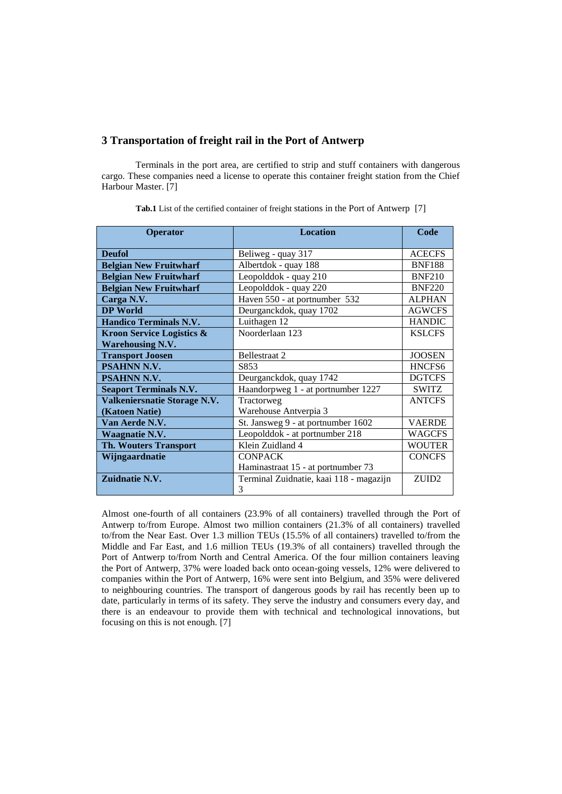#### **3 Transportation of freight rail in the Port of Antwerp**

Terminals in the port area, are certified to strip and stuff containers with dangerous cargo. These companies need a license to operate this container freight station from the Chief Harbour Master. [7]

| Operator                             | <b>Location</b>                         | Code              |  |
|--------------------------------------|-----------------------------------------|-------------------|--|
|                                      |                                         |                   |  |
| <b>Deufol</b>                        | Beliweg - quay 317                      | <b>ACECFS</b>     |  |
| <b>Belgian New Fruitwharf</b>        | Albertdok - quay 188                    | <b>BNF188</b>     |  |
| <b>Belgian New Fruitwharf</b>        | Leopolddok - quay 210                   | <b>BNF210</b>     |  |
| <b>Belgian New Fruitwharf</b>        | Leopolddok - quay 220                   | <b>BNF220</b>     |  |
| Carga N.V.                           | Haven 550 - at portnumber 532           | <b>ALPHAN</b>     |  |
| <b>DP World</b>                      | Deurganckdok, quay 1702                 | <b>AGWCFS</b>     |  |
| <b>Handico Terminals N.V.</b>        | Luithagen 12                            | <b>HANDIC</b>     |  |
| <b>Kroon Service Logistics &amp;</b> | Noorderlaan 123                         | <b>KSLCFS</b>     |  |
| <b>Warehousing N.V.</b>              |                                         |                   |  |
| <b>Transport Joosen</b>              | <b>Bellestraat 2</b>                    | <b>JOOSEN</b>     |  |
| <b>PSAHNN N.V.</b>                   | S853                                    | HNCFS6            |  |
| PSAHNN N.V.                          | Deurganckdok, quay 1742                 | <b>DGTCFS</b>     |  |
| <b>Seaport Terminals N.V.</b>        | Haandorpweg 1 - at portnumber 1227      | <b>SWITZ</b>      |  |
| Valkeniersnatie Storage N.V.         | Tractorweg                              | <b>ANTCFS</b>     |  |
| (Katoen Natie)                       | Warehouse Antverpia 3                   |                   |  |
| Van Aerde N.V.                       | St. Jansweg 9 - at portnumber 1602      | <b>VAERDE</b>     |  |
| Waagnatie N.V.                       | Leopolddok - at portnumber 218          | <b>WAGCFS</b>     |  |
| <b>Th. Wouters Transport</b>         | Klein Zuidland 4                        | <b>WOUTER</b>     |  |
| Wijngaardnatie                       | <b>CONPACK</b>                          | <b>CONCFS</b>     |  |
|                                      | Haminastraat 15 - at portnumber 73      |                   |  |
| Zuidnatie N.V.                       | Terminal Zuidnatie, kaai 118 - magazijn | ZUID <sub>2</sub> |  |
|                                      | 3                                       |                   |  |

**Tab.1** List of the certified container of freight stations in the Port of Antwerp [7]

Almost one-fourth of all containers (23.9% of all containers) travelled through the Port of Antwerp to/from Europe. Almost two million containers (21.3% of all containers) travelled to/from the Near East. Over 1.3 million TEUs (15.5% of all containers) travelled to/from the Middle and Far East, and 1.6 million TEUs (19.3% of all containers) travelled through the Port of Antwerp to/from North and Central America. Of the four million containers leaving the Port of Antwerp, 37% were loaded back onto ocean-going vessels, 12% were delivered to companies within the Port of Antwerp, 16% were sent into Belgium, and 35% were delivered to neighbouring countries. The transport of dangerous goods by rail has recently been up to date, particularly in terms of its safety. They serve the industry and consumers every day, and there is an endeavour to provide them with technical and technological innovations, but focusing on this is not enough. [7]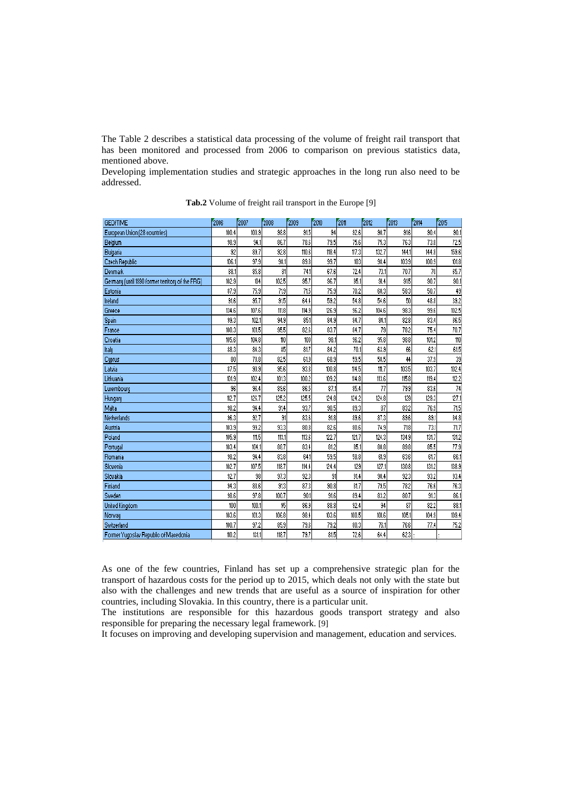The Table 2 describes a statistical data processing of the volume of freight rail transport that has been monitored and processed from 2006 to comparison on previous statistics data, mentioned above.

Developing implementation studies and strategic approaches in the long run also need to be addressed.

| <b>GEO/TIME</b>                                  | 2006  | 2007  | 2008  | 2009  | 2010  | 2011  | 2012  | 2013  | 2014  | 2015  |
|--------------------------------------------------|-------|-------|-------|-------|-------|-------|-------|-------|-------|-------|
| European Union (28 countries)                    | 100.4 | 100.9 | 98.8  | 91.5  | 94    | 92.6  | 90.7  | 91.6  | 90.4  | 90.1  |
| Belgium                                          | 98.9  | 94.1  | 86.7  | 78.6  | 79.5  | 75.6  | 75.3  | 76.3  | 73.8  | 72.5  |
| Bulgaria                                         | 92    | 89.7  | 92.8  | 110.6 | 118.4 | 117.3 | 132.7 | 144.1 | 144.8 | 159.6 |
| Czech Republic                                   | 106.1 | 97.9  | 98.1  | 89.8  | 99.7  | 103   | 98.4  | 103.9 | 100.9 | 101.8 |
| Denmark                                          | 88.1  | 85.8  | 81    | 74.1  | 67.6  | 72.4  | 73.1  | 70.7  | 70    | 65.7  |
| Germany (until 1990 former territory of the FRG) | 102.9 | 104   | 102.5 | 95.7  | 96.7  | 95.1  | 91.4  | 91.5  | 90.7  | 90.1  |
| Estonia                                          | 87.9  | 75.9  | 71.9  | 71.5  | 75.9  | 70.2  | 60.3  | 58.3  | 50.7  | 49    |
| Ireland                                          | 91.6  | 95.7  | 91.5  | 64.4  | 59.2  | 54.8  | 54.6  | 50    | 48.8  | 39.2  |
| Greece                                           | 134.6 | 107.6 | 111.8 | 114.9 | 126.9 | 96.2  | 104.6 | 98.3  | 99.6  | 102.5 |
| Spain                                            | 99.3  | 102.1 | 94.9  | 85.1  | 84.9  | 84.7  | 84.1  | 82.8  | 83.4  | 86.5  |
| France                                           | 100.3 | 101.5 | 95.5  | 82.6  | 83.7  | 84.7  | 79    | 78.2  | 75.4  | 70.7  |
| Croatia                                          | 105.6 | 104.8 | 110   | 100   | 98.1  | 96.2  | 95.8  | 98.8  | 101.2 | 110   |
| Italy                                            | 88.3  | 84.3  | 85    | 81.7  | 84.2  | 70.1  | 63.9  | 66    | 62.1  | 61.5  |
| Cyprus                                           | 80    | 78.8  | 82.5  | 61.9  | 68.9  | 59.5  | 58.5  | 44    | 37.9  | 39    |
| Latvia                                           | 87.5  | 90.9  | 95.6  | 93.8  | 100.8 | 114.5 | 111.7 | 103.5 | 103.7 | 102.4 |
| Lithuania                                        | 101.9 | 102.4 | 101.3 | 100.2 | 109.2 | 114.8 | 113.6 | 115.8 | 119.4 | 112.2 |
| Luxembourg                                       | 96    | 96.4  | 89.6  | 86.5  | 87.1  | 85.4  | 77    | 79.9  | 83.6  | 74    |
| Hungary                                          | 112.7 | 126.7 | 125.2 | 125.5 | 124.8 | 124.2 | 124.8 | 129   | 129.3 | 127.1 |
| Malta                                            | 98.2  | 94.4  | 91.4  | 93.7  | 90.5  | 89.3  | 87    | 83.2  | 76.9  | 71.5  |
| Netherlands                                      | 96.3  | 92.7  | 91    | 83.6  | 91.8  | 89.6  | 87.3  | 89.6  | 89.1  | 84.8  |
| Austria                                          | 103.9 | 99.2  | 93.3  | 80.8  | 82.6  | 80.6  | 74.9  | 71.8  | 73.1  | 71.7  |
| Poland                                           | 105.9 | 111.5 | 113.1 | 113.6 | 122.7 | 121.7 | 124.3 | 134.9 | 131.7 | 131.2 |
| Portugal                                         | 103.4 | 104.1 | 88.7  | 83.4  | 81.2  | 85.1  | 80.8  | 89.8  | 85.5  | 77.9  |
| Romania                                          | 98.2  | 94.4  | 83.8  | 64.1  | 59.5  | 58.8  | 61.9  | 63.6  | 61.7  | 66.1  |
| Slovenia                                         | 102.7 | 107.5 | 118.7 | 114.4 | 124.4 | 129   | 127.1 | 130.8 | 131.2 | 138.9 |
| Slovakia                                         | 92.7  | 98    | 97.3  | 92.3  | 91    | 91.4  | 90.4  | 92.3  | 93.2  | 93.4  |
| Finland                                          | 94.3  | 88.6  | 91.3  | 87.3  | 90.8  | 81.7  | 79.5  | 78.2  | 76.6  | 76.3  |
| Sweden                                           | 98.6  | 97.8  | 100.7 | 90.1  | 91.6  | 89.4  | 83.2  | 80.7  | 91.3  | 86.1  |
| United Kingdom                                   | 100   | 100.1 | 95    | 86.9  | 88.8  | 92.4  | 94    | 87    | 82.2  | 88.1  |
| Norway                                           | 103.6 | 101.3 | 106.8 | 98.4  | 103.6 | 100.5 | 101.6 | 105.1 | 104.9 | 109.4 |
| Switzerland                                      | 100.7 | 97.2  | 85.9  | 79.6  | 79.2  | 80.3  | 76.1  | 76.6  | 77.4  | 75.2  |
| Former Yugoslav Republic of Macedonia            | 110.2 | 131.1 | 118.7 | 79.7  | 81.5  | 72.6  | 64.4  | 62.3  |       |       |

**Tab.2** Volume of freight rail transport in the Europe [9]

As one of the few countries, Finland has set up a comprehensive strategic plan for the transport of hazardous costs for the period up to 2015, which deals not only with the state but also with the challenges and new trends that are useful as a source of inspiration for other countries, including Slovakia. In this country, there is a particular unit.

The institutions are responsible for this hazardous goods transport strategy and also responsible for preparing the necessary legal framework. [9]

It focuses on improving and developing supervision and management, education and services.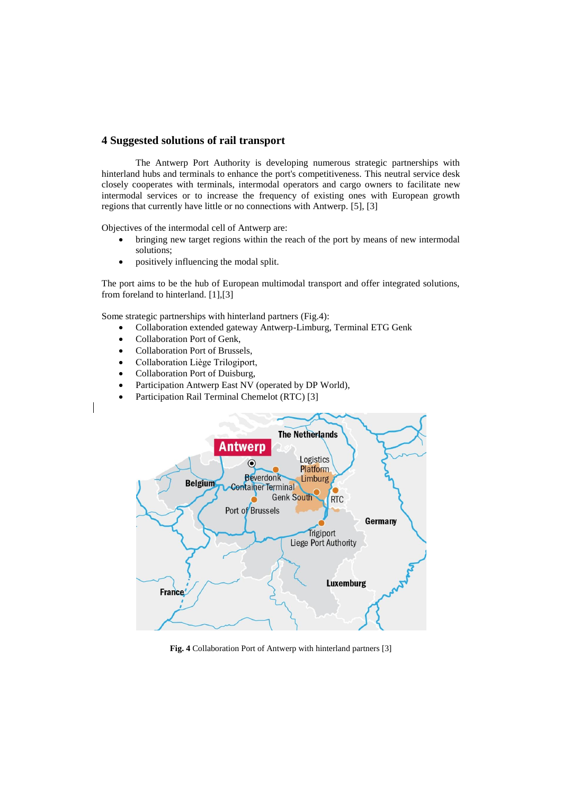#### **4 Suggested solutions of rail transport**

The Antwerp Port Authority is developing numerous strategic partnerships with hinterland hubs and terminals to enhance the port's competitiveness. This neutral service desk closely cooperates with terminals, intermodal operators and cargo owners to facilitate new intermodal services or to increase the frequency of existing ones with European growth regions that currently have little or no connections with Antwerp. [5], [3]

Objectives of the intermodal cell of Antwerp are:

- bringing new target regions within the reach of the port by means of new intermodal solutions;
- positively influencing the [modal split.](http://www.portofantwerp.com/sites/portofantwerp/files/imce/Instream/ModalSplit_EN_2015.PNG)

The port aims to be the hub of European multimodal transport and offer integrated solutions, from foreland to hinterland. [1],[3]

Some strategic partnerships with hinterland partners (Fig.4):

- Collaboration extended gateway Antwerp-Limburg, Terminal ETG Genk
- Collaboration Port of Genk,
- Collaboration Port of Brussels,
- Collaboration Liège Trilogiport,
- Collaboration Port of Duisburg,
- Participation Antwerp East NV (operated by DP World),
- Participation Rail Terminal Chemelot (RTC) [3]



**Fig. 4** Collaboration Port of Antwerp with hinterland partners [3]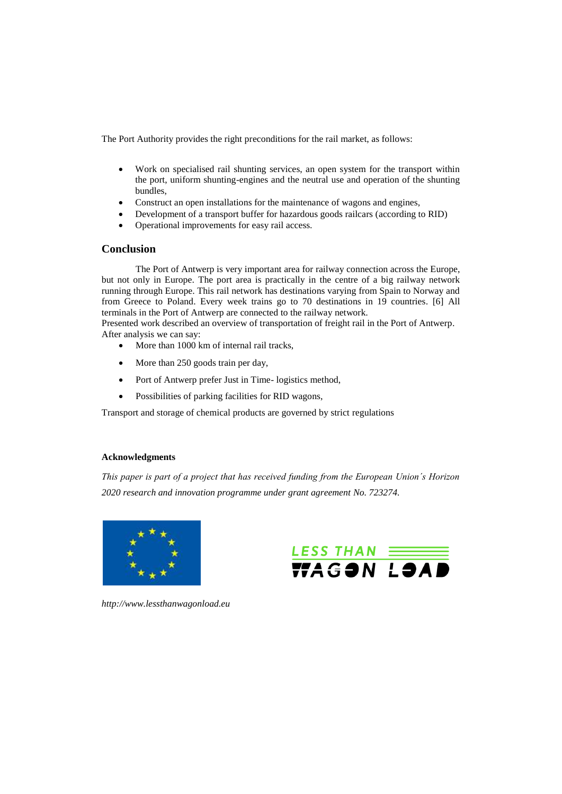The Port Authority provides the right preconditions for the rail market, as follows:

- Work on specialised rail shunting services, an open system for the transport within the port, uniform shunting-engines and the neutral use and operation of the shunting bundles,
- Construct an open installations for the maintenance of wagons and engines,
- Development of a transport buffer for hazardous goods railcars (according to RID)
- Operational improvements for [easy rail](http://www.portofantwerp.com/en/accessible-port/#verbeteringen) access.

#### **Conclusion**

The Port of Antwerp is very important area for railway connection across the Europe, but not only in Europe. The port area is practically in the centre of a big railway network running through Europe. This rail network has destinations varying from Spain to Norway and from Greece to Poland. Every week trains go to 70 destinations in 19 countries. [6] All terminals in the Port of Antwerp are connected to the railway network.

Presented work described an overview of transportation of freight rail in the Port of Antwerp. After analysis we can say:

- More than 1000 km of internal rail tracks,
- More than 250 goods train per day,
- Port of Antwerp prefer Just in Time- logistics method,
- Possibilities of parking facilities for RID wagons,

Transport and storage of chemical products are governed by strict regulations

#### **Acknowledgments**

*This paper is part of a project that has received funding from the European Union´s Horizon 2020 research and innovation programme under grant agreement No. 723274.*





*http://www.lessthanwagonload.eu*